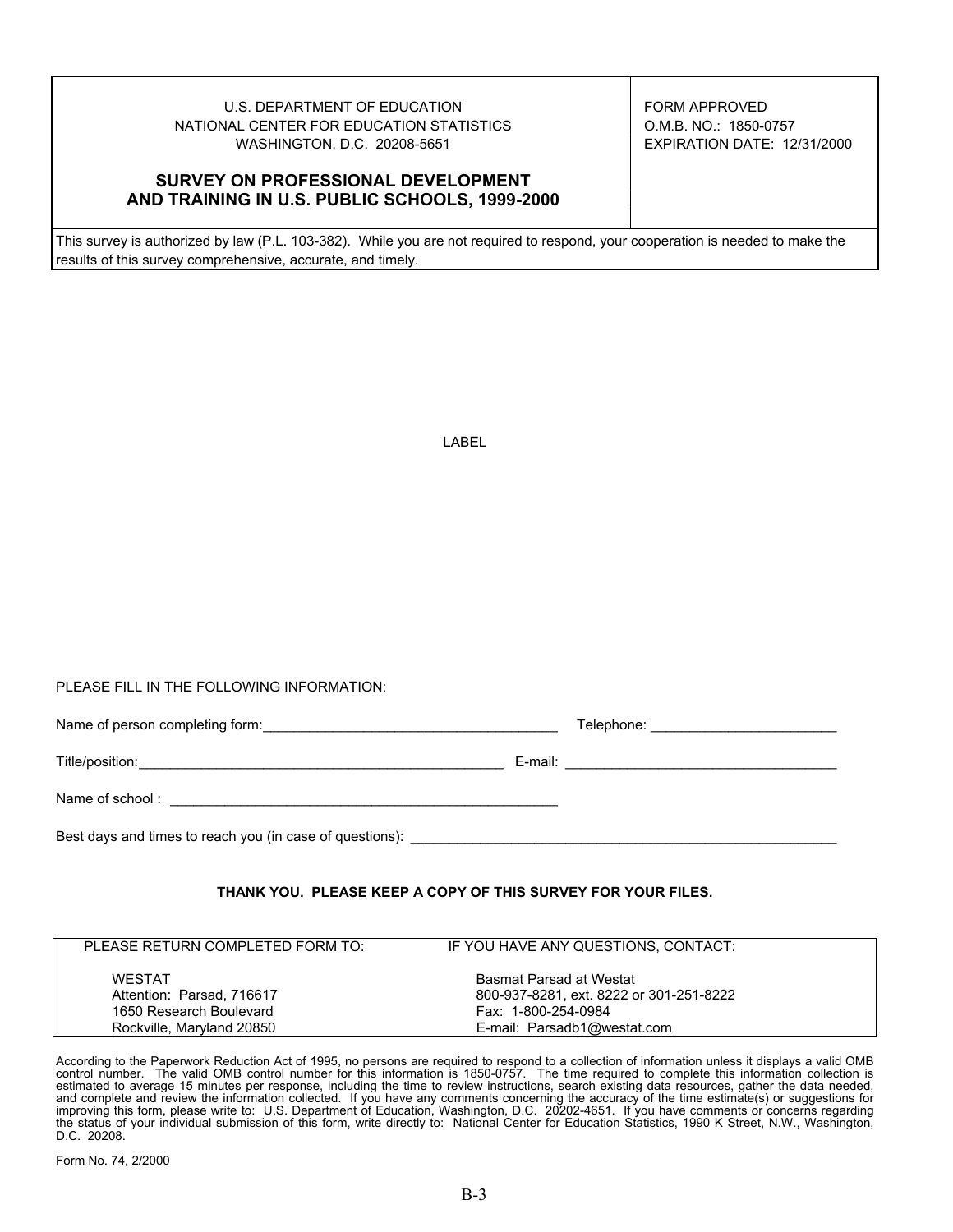## U.S. DEPARTMENT OF EDUCATION FORM APPROVED NATIONAL CENTER FOR EDUCATION STATISTICS | O.M.B. NO.: 1850-0757 WASHINGTON, D.C. 20208-5651 EXPIRATION DATE: 12/31/2000

## **SURVEY ON PROFESSIONAL DEVELOPMENT AND TRAINING IN U.S. PUBLIC SCHOOLS, 1999-2000**

This survey is authorized by law (P.L. 103-382). While you are not required to respond, your cooperation is needed to make the results of this survey comprehensive, accurate, and timely.

|--|--|

PLEASE FILL IN THE FOLLOWING INFORMATION:

|                                                          | Telephone: ____________________________ |  |  |
|----------------------------------------------------------|-----------------------------------------|--|--|
|                                                          |                                         |  |  |
|                                                          |                                         |  |  |
| Best days and times to reach you (in case of questions): |                                         |  |  |

## **THANK YOU. PLEASE KEEP A COPY OF THIS SURVEY FOR YOUR FILES.**

| PLEASE RETURN COMPLETED FORM TO: | IF YOU HAVE ANY QUESTIONS, CONTACT:     |  |
|----------------------------------|-----------------------------------------|--|
|                                  |                                         |  |
|                                  |                                         |  |
| <b>WESTAT</b>                    | Basmat Parsad at Westat                 |  |
| Attention: Parsad, 716617        | 800-937-8281, ext. 8222 or 301-251-8222 |  |
|                                  |                                         |  |
| 1650 Research Boulevard          | Fax: 1-800-254-0984                     |  |
| Rockville, Maryland 20850        | E-mail: Parsadb1@westat.com             |  |
|                                  |                                         |  |

According to the Paperwork Reduction Act of 1995, no persons are required to respond to a collection of information unless it displays a valid OMB control number. The valid OMB control number for this information is 1850-0757. The time required to complete this information collection is<br>estimated to average 15 minutes per response, including the time to review instru improving this form, please write to: U.S. Department of Education, Washington, D.C. 20202-4651. If you have comments or concerns regarding the status of your individual submission of this form, write directly to: National Center for Education Statistics, 1990 K Street, N.W., Washington, D.C. 20208.

Form No. 74, 2/2000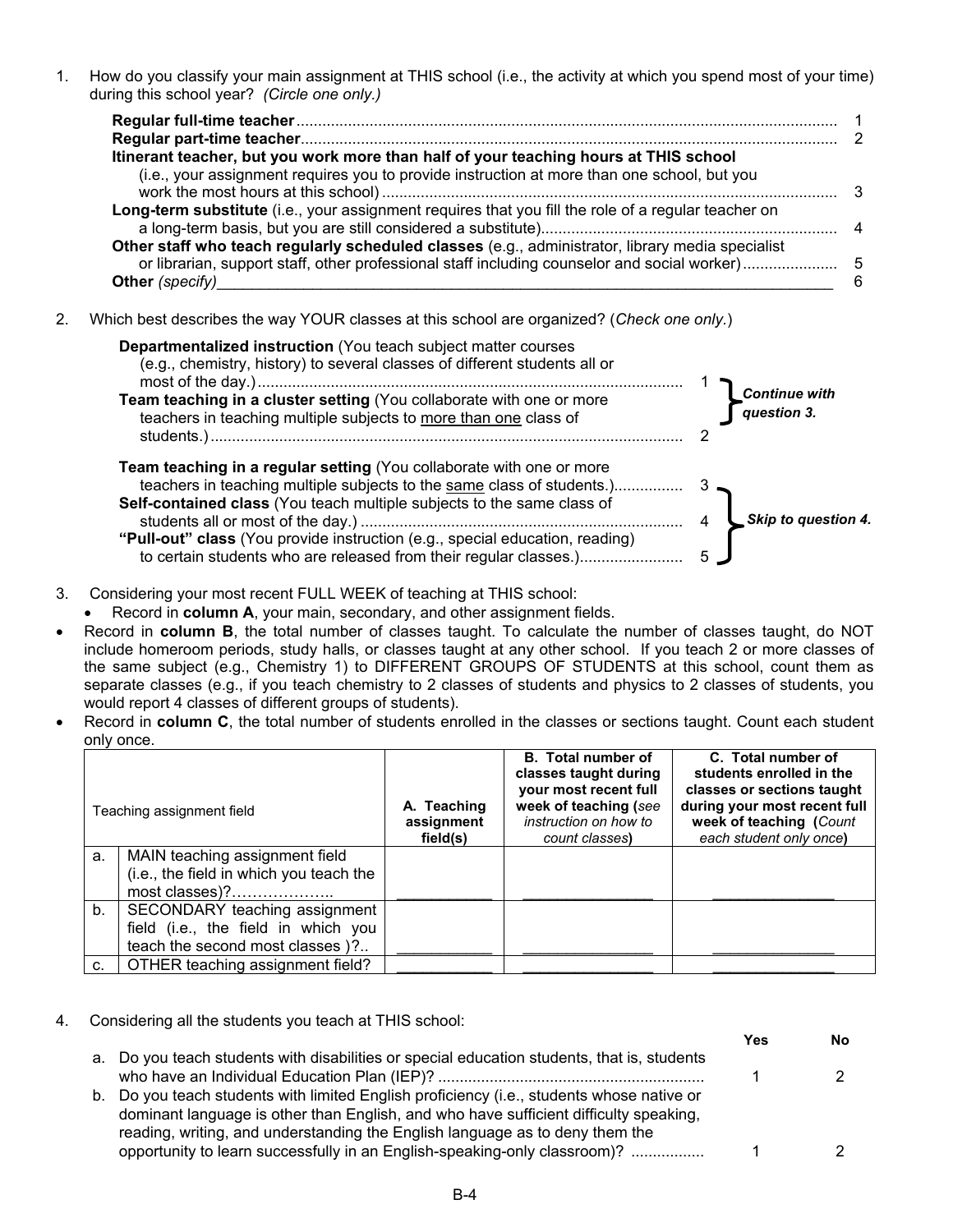1. How do you classify your main assignment at THIS school (i.e., the activity at which you spend most of your time) during this school year? *(Circle one only.)* 

| Itinerant teacher, but you work more than half of your teaching hours at THIS school                |   |
|-----------------------------------------------------------------------------------------------------|---|
| (i.e., your assignment requires you to provide instruction at more than one school, but you         |   |
|                                                                                                     |   |
| Long-term substitute (i.e., your assignment requires that you fill the role of a regular teacher on |   |
|                                                                                                     |   |
| Other staff who teach regularly scheduled classes (e.g., administrator, library media specialist    |   |
|                                                                                                     |   |
|                                                                                                     | 6 |

2. Which best describes the way YOUR classes at this school are organized? (*Check one only.*)



## 3. Considering your most recent FULL WEEK of teaching at THIS school:

- Record in **column A**, your main, secondary, and other assignment fields.
- Record in **column B**, the total number of classes taught. To calculate the number of classes taught, do NOT include homeroom periods, study halls, or classes taught at any other school. If you teach 2 or more classes of the same subject (e.g., Chemistry 1) to DIFFERENT GROUPS OF STUDENTS at this school, count them as separate classes (e.g., if you teach chemistry to 2 classes of students and physics to 2 classes of students, you would report 4 classes of different groups of students).
- Record in **column C**, the total number of students enrolled in the classes or sections taught. Count each student only once.

|    | Teaching assignment field               | A. Teaching<br>assignment<br>field(s) | <b>B.</b> Total number of<br>classes taught during<br>your most recent full<br>week of teaching (see<br>instruction on how to<br>count classes) | C. Total number of<br>students enrolled in the<br>classes or sections taught<br>during your most recent full<br>week of teaching (Count<br>each student only once) |
|----|-----------------------------------------|---------------------------------------|-------------------------------------------------------------------------------------------------------------------------------------------------|--------------------------------------------------------------------------------------------------------------------------------------------------------------------|
| a. | MAIN teaching assignment field          |                                       |                                                                                                                                                 |                                                                                                                                                                    |
|    | (i.e., the field in which you teach the |                                       |                                                                                                                                                 |                                                                                                                                                                    |
|    | most classes)?                          |                                       |                                                                                                                                                 |                                                                                                                                                                    |
| b. | SECONDARY teaching assignment           |                                       |                                                                                                                                                 |                                                                                                                                                                    |
|    | field (i.e., the field in which you     |                                       |                                                                                                                                                 |                                                                                                                                                                    |
|    | teach the second most classes )?        |                                       |                                                                                                                                                 |                                                                                                                                                                    |
| c. | OTHER teaching assignment field?        |                                       |                                                                                                                                                 |                                                                                                                                                                    |

4. Considering all the students you teach at THIS school:

|                                                                                                                                                                                                                                                                    | Yes | Nο |
|--------------------------------------------------------------------------------------------------------------------------------------------------------------------------------------------------------------------------------------------------------------------|-----|----|
| a. Do you teach students with disabilities or special education students, that is, students                                                                                                                                                                        |     |    |
| b. Do you teach students with limited English proficiency (i.e., students whose native or<br>dominant language is other than English, and who have sufficient difficulty speaking,<br>reading, writing, and understanding the English language as to deny them the |     |    |
| opportunity to learn successfully in an English-speaking-only classroom)?                                                                                                                                                                                          |     |    |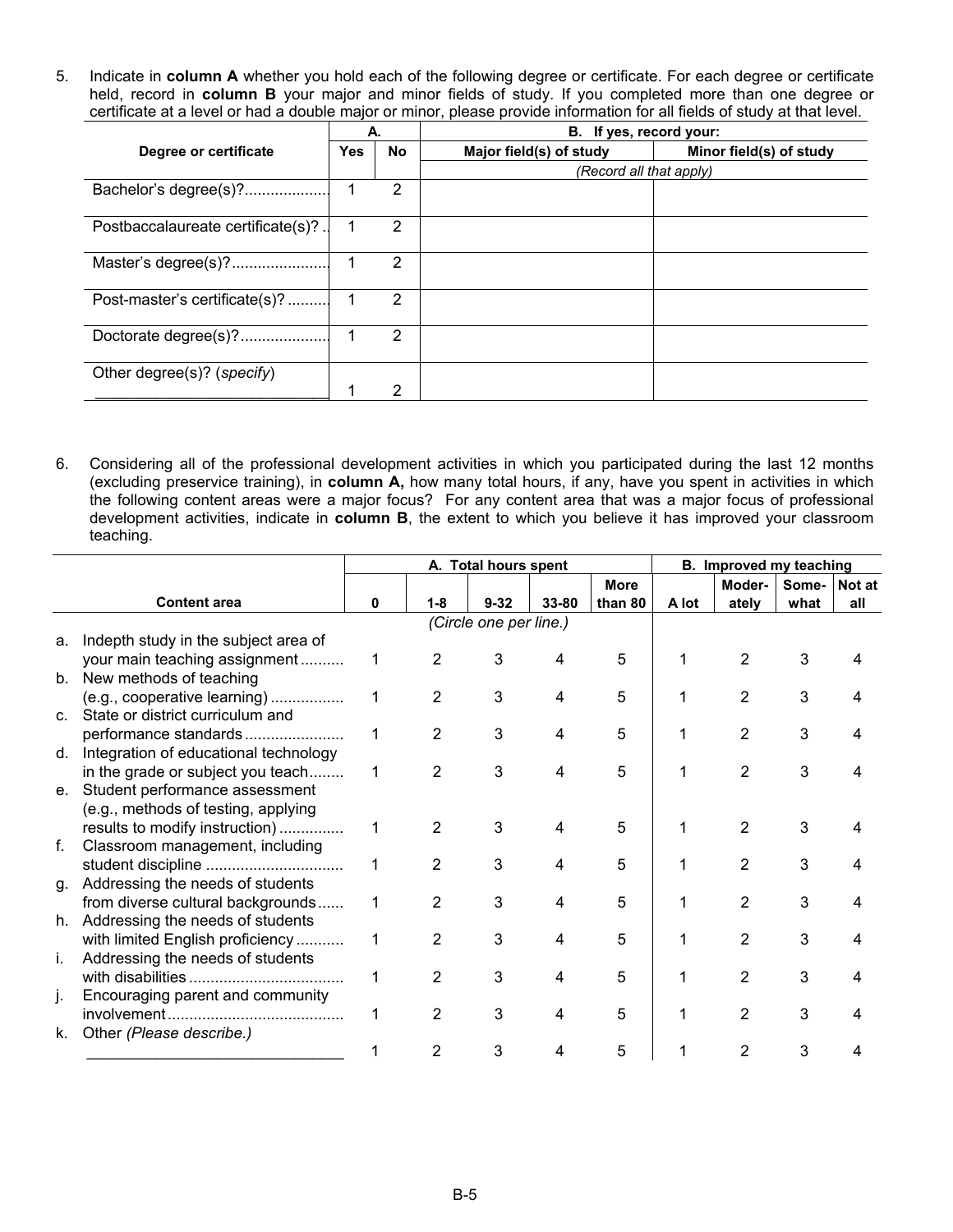5. Indicate in **column A** whether you hold each of the following degree or certificate. For each degree or certificate held, record in **column B** your major and minor fields of study. If you completed more than one degree or certificate at a level or had a double major or minor, please provide information for all fields of study at that level.

|                                   | А.         |    | B. If yes, record your:                            |  |  |
|-----------------------------------|------------|----|----------------------------------------------------|--|--|
| Degree or certificate             | <b>Yes</b> | No | Major field(s) of study<br>Minor field(s) of study |  |  |
|                                   |            |    | (Record all that apply)                            |  |  |
| Bachelor's degree(s)?             | 1          | 2  |                                                    |  |  |
| Postbaccalaureate certificate(s)? | 1          | 2  |                                                    |  |  |
| Master's degree(s)?               | 1          | 2  |                                                    |  |  |
| Post-master's certificate(s)?     |            | 2  |                                                    |  |  |
| Doctorate degree(s)?              | 1          | 2  |                                                    |  |  |
| Other degree(s)? (specify)        |            |    |                                                    |  |  |
|                                   |            | 2  |                                                    |  |  |

6. Considering all of the professional development activities in which you participated during the last 12 months (excluding preservice training), in **column A,** how many total hours, if any, have you spent in activities in which the following content areas were a major focus? For any content area that was a major focus of professional development activities, indicate in **column B**, the extent to which you believe it has improved your classroom teaching.

|    |                                       | A. Total hours spent |                |                        | B. Improved my teaching |             |       |                |       |        |
|----|---------------------------------------|----------------------|----------------|------------------------|-------------------------|-------------|-------|----------------|-------|--------|
|    |                                       |                      |                |                        |                         | <b>More</b> |       | Moder-         | Some- | Not at |
|    | <b>Content area</b>                   | 0                    | $1 - 8$        | $9 - 32$               | 33-80                   | than 80     | A lot | ately          | what  | all    |
|    |                                       |                      |                | (Circle one per line.) |                         |             |       |                |       |        |
| a. | Indepth study in the subject area of  |                      |                |                        |                         |             |       |                |       |        |
|    | your main teaching assignment         | 1                    | 2              | 3                      |                         | 5           |       | 2              | 3     |        |
|    | b. New methods of teaching            |                      |                |                        |                         |             |       |                |       |        |
|    | (e.g., cooperative learning)          | 1                    | 2              | 3                      | 4                       | 5           |       | $\overline{2}$ | 3     |        |
|    | c. State or district curriculum and   |                      |                |                        |                         |             |       |                |       |        |
|    | performance standards                 | 1                    | 2              | 3                      |                         | 5           |       | $\overline{2}$ | 3     |        |
| d. | Integration of educational technology |                      |                |                        |                         |             |       |                |       |        |
|    | in the grade or subject you teach     | 1                    | 2              | 3                      | 4                       | 5           |       | $\overline{2}$ | 3     |        |
| e. | Student performance assessment        |                      |                |                        |                         |             |       |                |       |        |
|    | (e.g., methods of testing, applying   |                      |                |                        |                         |             |       |                |       |        |
|    | results to modify instruction)        | 1                    | 2              | 3                      |                         | 5           |       | 2              | 3     |        |
| f. | Classroom management, including       |                      |                |                        |                         |             |       |                |       |        |
|    | student discipline                    | 1                    | $\overline{2}$ | 3                      |                         | 5           |       | 2              | 3     |        |
| g. | Addressing the needs of students      |                      |                |                        |                         |             |       |                |       |        |
|    | from diverse cultural backgrounds     |                      | 2              | 3                      |                         | 5           |       | $\overline{2}$ | 3     |        |
| h. | Addressing the needs of students      |                      |                |                        |                         |             |       |                |       |        |
|    | with limited English proficiency      |                      | $\overline{2}$ | 3                      |                         | 5           |       | $\overline{2}$ | 3     |        |
| İ. | Addressing the needs of students      |                      |                |                        |                         |             |       |                |       |        |
|    |                                       | 1                    | 2              | 3                      |                         | 5           |       | 2              | 3     |        |
| J. | Encouraging parent and community      |                      |                |                        |                         |             |       |                |       |        |
|    |                                       | 1                    | 2              | 3                      | 4                       | 5           |       | 2              | 3     |        |
| k. | Other (Please describe.)              |                      |                |                        |                         |             |       |                |       |        |
|    |                                       |                      | 2              | 3                      |                         | 5           |       | 2              | 3     |        |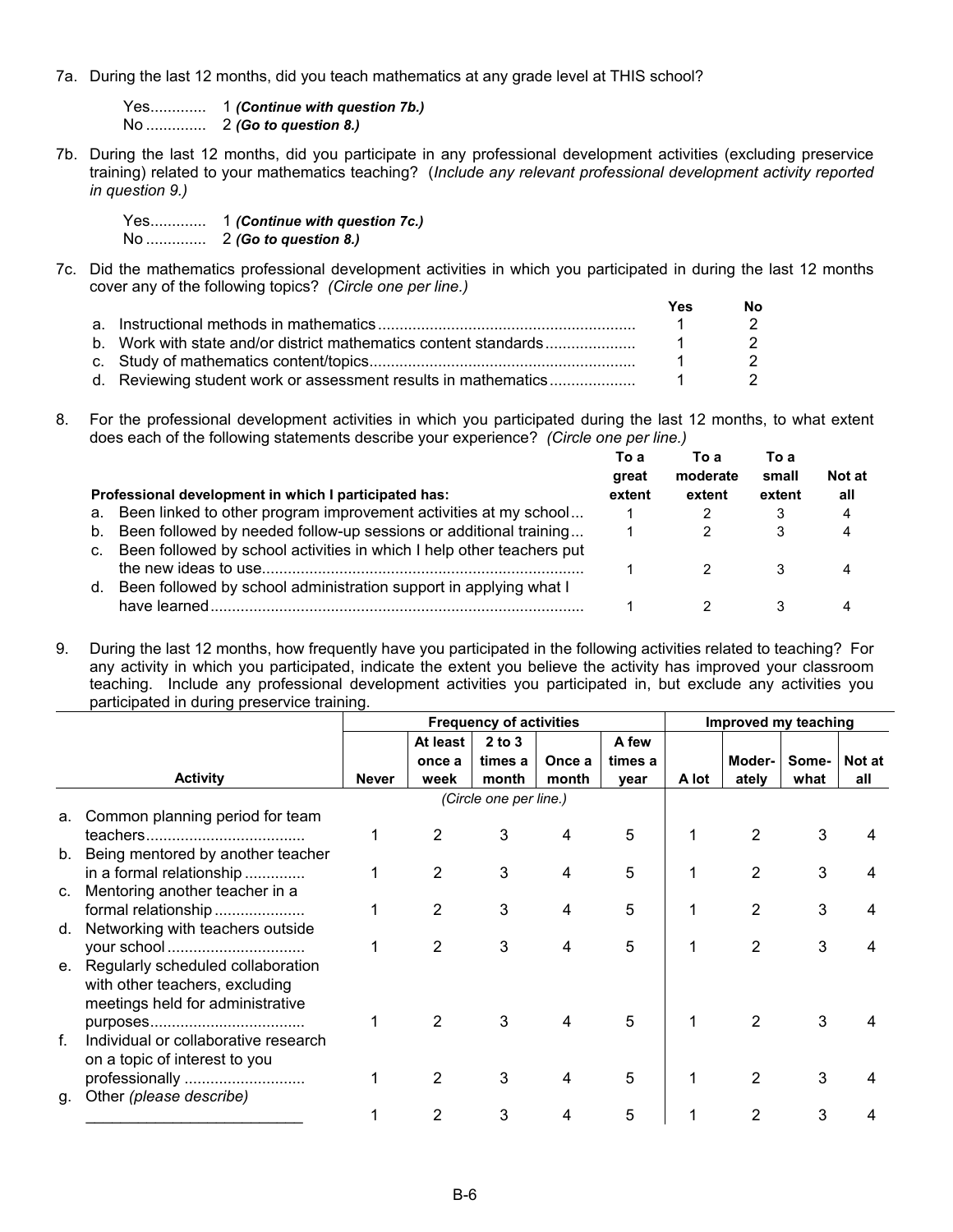7a. During the last 12 months, did you teach mathematics at any grade level at THIS school?

Yes............. 1 *(Continue with question 7b.)* No .............. 2 *(Go to question 8.)*

7b. During the last 12 months, did you participate in any professional development activities (excluding preservice training) related to your mathematics teaching? (*Include any relevant professional development activity reported in question 9.)* 

Yes............. 1 *(Continue with question 7c.)* No .............. 2 *(Go to question 8.)*

7c. Did the mathematics professional development activities in which you participated in during the last 12 months cover any of the following topics? *(Circle one per line.)* 

|  | Yes | No. |
|--|-----|-----|
|  |     |     |
|  |     |     |
|  |     |     |
|  |     |     |

8. For the professional development activities in which you participated during the last 12 months, to what extent does each of the following statements describe your experience? *(Circle one per line.)* 

| Professional development in which I participated has:                    | To a<br>great<br>extent | To a<br>moderate<br>extent | To a<br>small<br>extent | Not at<br>all |
|--------------------------------------------------------------------------|-------------------------|----------------------------|-------------------------|---------------|
| a. Been linked to other program improvement activities at my school      |                         |                            |                         | 4             |
| b. Been followed by needed follow-up sessions or additional training     |                         |                            | 3                       | 4             |
| c. Been followed by school activities in which I help other teachers put |                         |                            |                         |               |
|                                                                          |                         |                            |                         |               |
| Been followed by school administration support in applying what I<br>d.  |                         |                            |                         |               |
|                                                                          |                         |                            |                         | ⊿             |

<sup>9.</sup> During the last 12 months, how frequently have you participated in the following activities related to teaching? For any activity in which you participated, indicate the extent you believe the activity has improved your classroom teaching. Include any professional development activities you participated in, but exclude any activities you participated in during preservice training.

|             |                                      | <b>Frequency of activities</b> |                |                        |        | Improved my teaching |       |                |       |               |
|-------------|--------------------------------------|--------------------------------|----------------|------------------------|--------|----------------------|-------|----------------|-------|---------------|
|             |                                      |                                | At least       | $2$ to $3$             |        | A few                |       |                |       |               |
|             |                                      |                                | once a         | times a                | Once a | times a              |       | Moder-         | Some- | <b>Not at</b> |
|             | <b>Activity</b>                      | <b>Never</b>                   | week           | month                  | month  | vear                 | A lot | ately          | what  | all           |
|             |                                      |                                |                | (Circle one per line.) |        |                      |       |                |       |               |
| а.          | Common planning period for team      |                                |                |                        |        |                      |       |                |       |               |
|             |                                      |                                | 2              | 3                      |        | 5                    |       | $\overline{2}$ | 3     |               |
| b.          | Being mentored by another teacher    |                                |                |                        |        |                      |       |                |       |               |
|             | in a formal relationship             |                                | $\overline{2}$ | 3                      |        | 5                    |       | 2              | 3     |               |
| C.          | Mentoring another teacher in a       |                                |                |                        |        |                      |       |                |       |               |
|             | formal relationship                  |                                | 2              | 3                      |        | 5                    |       | 2              | 3     |               |
| d.          | Networking with teachers outside     |                                |                |                        |        |                      |       |                |       |               |
|             |                                      |                                | 2              | 3                      | 4      | 5                    |       | $\overline{2}$ | 3     |               |
| e.          | Regularly scheduled collaboration    |                                |                |                        |        |                      |       |                |       |               |
|             | with other teachers, excluding       |                                |                |                        |        |                      |       |                |       |               |
|             | meetings held for administrative     |                                |                |                        |        |                      |       |                |       |               |
|             |                                      |                                | 2              | 3                      |        | 5                    |       | 2              | 3     |               |
| $f_{\cdot}$ | Individual or collaborative research |                                |                |                        |        |                      |       |                |       |               |
|             | on a topic of interest to you        |                                |                |                        |        |                      |       |                |       |               |
|             | professionally                       |                                | 2              | 3                      |        | 5                    |       | 2              | 3     |               |
| g.          | Other (please describe)              |                                |                |                        |        |                      |       |                |       |               |
|             |                                      |                                |                | 3                      |        | 5                    |       |                | 3     |               |